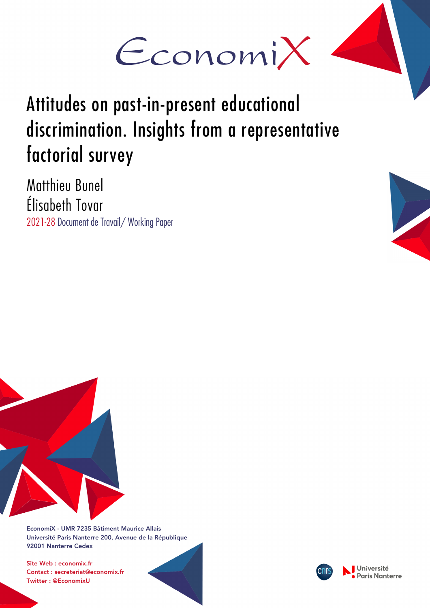

# Attitudes on past-in-present educational discrimination. Insights from a representative factorial survey

Matthieu Bunel Élisabeth Tovar 2021-28 Document de Travail/ Working Paper





EconomiX - UMR 7235 Bâtiment Maurice Allais Université Paris Nanterre 200, Avenue de la République 92001 Nanterre Cedex

Site Web : economix.fr Contact : secreteriat@economix.fr Twitter : @EconomixU

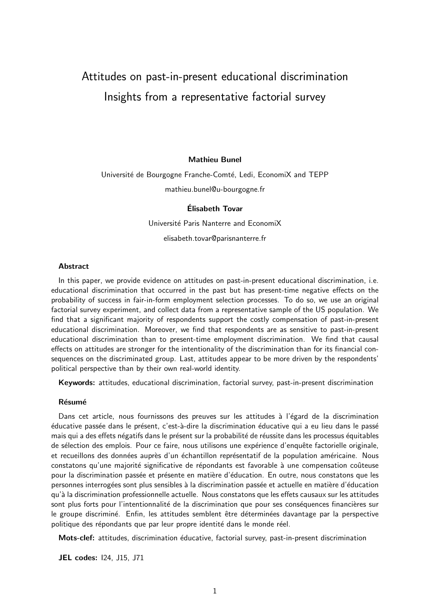# Attitudes on past-in-present educational discrimination Insights from a representative factorial survey

#### Mathieu Bunel

# Université de Bourgogne Franche-Comté, Ledi, EconomiX and TEPP mathieu.bunel@u-bourgogne.fr

#### Elisabeth Tovar ´

Université Paris Nanterre and EconomiX elisabeth.tovar@parisnanterre.fr

#### **Abstract**

In this paper, we provide evidence on attitudes on past-in-present educational discrimination, i.e. educational discrimination that occurred in the past but has present-time negative effects on the probability of success in fair-in-form employment selection processes. To do so, we use an original factorial survey experiment, and collect data from a representative sample of the US population. We find that a significant majority of respondents support the costly compensation of past-in-present educational discrimination. Moreover, we find that respondents are as sensitive to past-in-present educational discrimination than to present-time employment discrimination. We find that causal effects on attitudes are stronger for the intentionality of the discrimination than for its financial consequences on the discriminated group. Last, attitudes appear to be more driven by the respondents' political perspective than by their own real-world identity.

Keywords: attitudes, educational discrimination, factorial survey, past-in-present discrimination

#### **Résumé**

Dans cet article, nous fournissons des preuves sur les attitudes à l'égard de la discrimination éducative passée dans le présent, c'est-à-dire la discrimination éducative qui a eu lieu dans le passé mais qui a des effets négatifs dans le présent sur la probabilité de réussite dans les processus équitables de sélection des emplois. Pour ce faire, nous utilisons une expérience d'enquête factorielle originale, et recueillons des données auprès d'un échantillon représentatif de la population américaine. Nous constatons qu'une majorité significative de répondants est favorable à une compensation coûteuse pour la discrimination passée et présente en matière d'éducation. En outre, nous constatons que les personnes interrogées sont plus sensibles à la discrimination passée et actuelle en matière d'éducation qu'à la discrimination professionnelle actuelle. Nous constatons que les effets causaux sur les attitudes sont plus forts pour l'intentionnalité de la discrimination que pour ses conséquences financières sur le groupe discriminé. Enfin, les attitudes semblent être déterminées davantage par la perspective politique des répondants que par leur propre identité dans le monde réel.

Mots-clef: attitudes, discrimination éducative, factorial survey, past-in-present discrimination

JEL codes: I24, J15, J71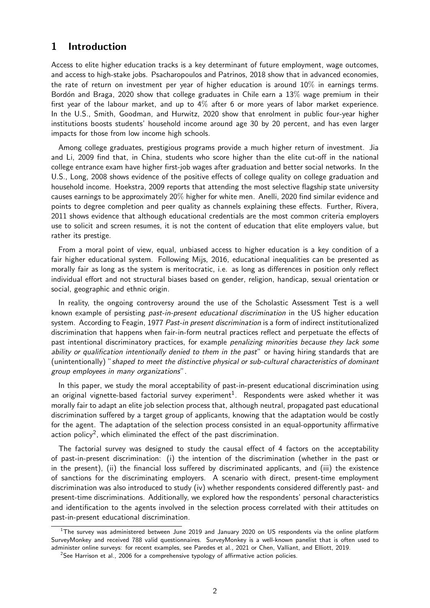# 1 Introduction

Access to elite higher education tracks is a key determinant of future employment, wage outcomes, and access to high-stake jobs. Psacharopoulos and Patrinos, 2018 show that in advanced economies, the rate of return on investment per year of higher education is around  $10\%$  in earnings terms. Bordón and Braga, 2020 show that college graduates in Chile earn a  $13\%$  wage premium in their first year of the labour market, and up to 4% after 6 or more years of labor market experience. In the U.S., Smith, Goodman, and Hurwitz, 2020 show that enrolment in public four-year higher institutions boosts students' household income around age 30 by 20 percent, and has even larger impacts for those from low income high schools.

Among college graduates, prestigious programs provide a much higher return of investment. Jia and Li, 2009 find that, in China, students who score higher than the elite cut-off in the national college entrance exam have higher first-job wages after graduation and better social networks. In the U.S., Long, 2008 shows evidence of the positive effects of college quality on college graduation and household income. Hoekstra, 2009 reports that attending the most selective flagship state university causes earnings to be approximately 20% higher for white men. Anelli, 2020 find similar evidence and points to degree completion and peer quality as channels explaining these effects. Further, Rivera, 2011 shows evidence that although educational credentials are the most common criteria employers use to solicit and screen resumes, it is not the content of education that elite employers value, but rather its prestige.

From a moral point of view, equal, unbiased access to higher education is a key condition of a fair higher educational system. Following Mijs, 2016, educational inequalities can be presented as morally fair as long as the system is meritocratic, i.e. as long as differences in position only reflect individual effort and not structural biases based on gender, religion, handicap, sexual orientation or social, geographic and ethnic origin.

In reality, the ongoing controversy around the use of the Scholastic Assessment Test is a well known example of persisting past-in-present educational discrimination in the US higher education system. According to Feagin, 1977 Past-in present discrimination is a form of indirect institutionalized discrimination that happens when fair-in-form neutral practices reflect and perpetuate the effects of past intentional discriminatory practices, for example *penalizing minorities because they lack some* ability or qualification intentionally denied to them in the past" or having hiring standards that are (unintentionally) "shaped to meet the distinctive physical or sub-cultural characteristics of dominant group employees in many organizations".

In this paper, we study the moral acceptability of past-in-present educational discrimination using an original vignette-based factorial survey experiment $^1$ . Respondents were asked whether it was morally fair to adapt an elite job selection process that, although neutral, propagated past educational discrimination suffered by a target group of applicants, knowing that the adaptation would be costly for the agent. The adaptation of the selection process consisted in an equal-opportunity affirmative action policy<sup>2</sup>, which eliminated the effect of the past discrimination.

The factorial survey was designed to study the causal effect of 4 factors on the acceptability of past-in-present discrimination: (i) the intention of the discrimination (whether in the past or in the present), (ii) the financial loss suffered by discriminated applicants, and (iii) the existence of sanctions for the discriminating employers. A scenario with direct, present-time employment discrimination was also introduced to study (iv) whether respondents considered differently past- and present-time discriminations. Additionally, we explored how the respondents' personal characteristics and identification to the agents involved in the selection process correlated with their attitudes on past-in-present educational discrimination.

 $^1$ The survey was administered between June 2019 and January 2020 on US respondents via the online platform SurveyMonkey and received 788 valid questionnaires. SurveyMonkey is a well-known panelist that is often used to administer online surveys: for recent examples, see Paredes et al., 2021 or Chen, Valliant, and Elliott, 2019.

 $2$ See Harrison et al., 2006 for a comprehensive typology of affirmative action policies.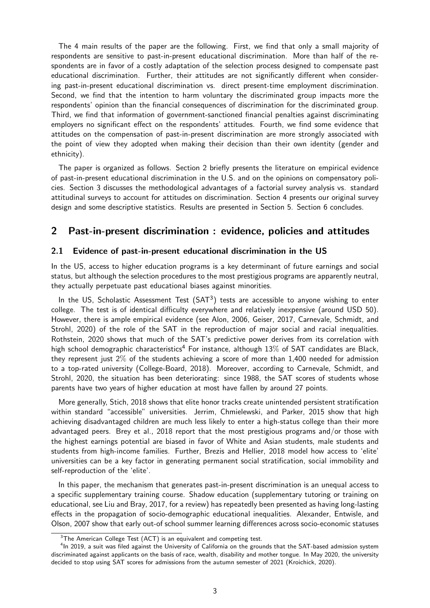The 4 main results of the paper are the following. First, we find that only a small majority of respondents are sensitive to past-in-present educational discrimination. More than half of the respondents are in favor of a costly adaptation of the selection process designed to compensate past educational discrimination. Further, their attitudes are not significantly different when considering past-in-present educational discrimination vs. direct present-time employment discrimination. Second, we find that the intention to harm voluntary the discriminated group impacts more the respondents' opinion than the financial consequences of discrimination for the discriminated group. Third, we find that information of government-sanctioned financial penalties against discriminating employers no significant effect on the respondents' attitudes. Fourth, we find some evidence that attitudes on the compensation of past-in-present discrimination are more strongly associated with the point of view they adopted when making their decision than their own identity (gender and ethnicity).

The paper is organized as follows. Section 2 briefly presents the literature on empirical evidence of past-in-present educational discrimination in the U.S. and on the opinions on compensatory policies. Section 3 discusses the methodological advantages of a factorial survey analysis vs. standard attitudinal surveys to account for attitudes on discrimination. Section 4 presents our original survey design and some descriptive statistics. Results are presented in Section 5. Section 6 concludes.

## 2 Past-in-present discrimination : evidence, policies and attitudes

#### 2.1 Evidence of past-in-present educational discrimination in the US

In the US, access to higher education programs is a key determinant of future earnings and social status, but although the selection procedures to the most prestigious programs are apparently neutral, they actually perpetuate past educational biases against minorities.

In the US, Scholastic Assessment Test  $(SAT<sup>3</sup>)$  tests are accessible to anyone wishing to enter college. The test is of identical difficulty everywhere and relatively inexpensive (around USD 50). However, there is ample empirical evidence (see Alon, 2006, Geiser, 2017, Carnevale, Schmidt, and Strohl, 2020) of the role of the SAT in the reproduction of major social and racial inequalities. Rothstein, 2020 shows that much of the SAT's predictive power derives from its correlation with high school demographic characteristics<sup>4</sup> For instance, although  $13\%$  of SAT candidates are Black, they represent just 2% of the students achieving a score of more than 1,400 needed for admission to a top-rated university (College-Board, 2018). Moreover, according to Carnevale, Schmidt, and Strohl, 2020, the situation has been deteriorating: since 1988, the SAT scores of students whose parents have two years of higher education at most have fallen by around 27 points.

More generally, Stich, 2018 shows that elite honor tracks create unintended persistent stratification within standard "accessible" universities. Jerrim, Chmielewski, and Parker, 2015 show that high achieving disadvantaged children are much less likely to enter a high-status college than their more advantaged peers. Brey et al., 2018 report that the most prestigious programs and/or those with the highest earnings potential are biased in favor of White and Asian students, male students and students from high-income families. Further, Brezis and Hellier, 2018 model how access to 'elite' universities can be a key factor in generating permanent social stratification, social immobility and self-reproduction of the 'elite'.

In this paper, the mechanism that generates past-in-present discrimination is an unequal access to a specific supplementary training course. Shadow education (supplementary tutoring or training on educational, see Liu and Bray, 2017, for a review) has repeatedly been presented as having long-lasting effects in the propagation of socio-demographic educational inequalities. Alexander, Entwisle, and Olson, 2007 show that early out-of school summer learning differences across socio-economic statuses

<sup>&</sup>lt;sup>3</sup>The American College Test (ACT) is an equivalent and competing test.

<sup>&</sup>lt;sup>4</sup>In 2019, a suit was filed against the University of California on the grounds that the SAT-based admission system discriminated against applicants on the basis of race, wealth, disability and mother tongue. In May 2020, the university decided to stop using SAT scores for admissions from the autumn semester of 2021 (Kroichick, 2020).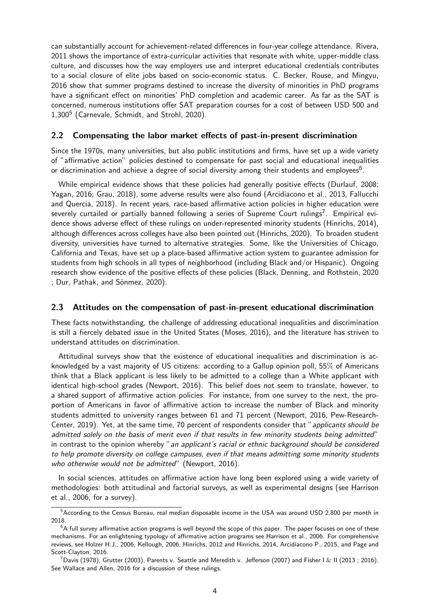can substantially account for achievement-related differences in four-year college attendance. Rivera, 2011 shows the importance of extra-curricular activities that resonate with white, upper-middle class culture, and discusses how the way employers use and interpret educational credentials contributes to a social closure of elite jobs based on socio-economic status. C. Becker, Rouse, and Mingyu, 2016 show that summer programs destined to increase the diversity of minorities in PhD programs have a significant effect on minorities' PhD completion and academic career. As far as the SAT is concerned, numerous institutions offer SAT preparation courses for a cost of between USD 500 and 1,300<sup>5</sup> (Carnevale, Schmidt, and Strohl, 2020).

#### 2.2 Compensating the labor market effects of past-in-present discrimination

Since the 1970s, many universities, but also public institutions and firms, have set up a wide variety of "affirmative action" policies destined to compensate for past social and educational inequalities or discrimination and achieve a degree of social diversity among their students and employees $^6$ .

While empirical evidence shows that these policies had generally positive effects (Durlauf, 2008; Yagan, 2016; Grau, 2018), some adverse results were also found (Arcidiacono et al., 2013, Fallucchi and Quercia, 2018). In recent years, race-based affirmative action policies in higher education were severely curtailed or partially banned following a series of Supreme Court rulings<sup>7</sup>. Empirical evidence shows adverse effect of these rulings on under-represented minority students (Hinrichs, 2014), although differences across colleges have also been pointed out (Hinrichs, 2020). To broaden student diversity, universities have turned to alternative strategies. Some, like the Universities of Chicago, California and Texas, have set up a place-based affirmative action system to guarantee admission for students from high schools in all types of neighborhood (including Black and/or Hispanic). Ongoing research show evidence of the positive effects of these policies (Black, Denning, and Rothstein, 2020 ; Dur, Pathak, and Sönmez, 2020).

#### 2.3 Attitudes on the compensation of past-in-present educational discrimination

These facts notwithstanding, the challenge of addressing educational inequalities and discrimination is still a fiercely debated issue in the United States (Moses, 2016), and the literature has striven to understand attitudes on discrimination.

Attitudinal surveys show that the existence of educational inequalities and discrimination is acknowledged by a vast majority of US citizens: according to a Gallup opinion poll, 55% of Americans think that a Black applicant is less likely to be admitted to a college than a White applicant with identical high-school grades (Newport, 2016). This belief does not seem to translate, however, to a shared support of affirmative action policies. For instance, from one survey to the next, the proportion of Americans in favor of affirmative action to increase the number of Black and minority students admitted to university ranges between 61 and 71 percent (Newport, 2016, Pew-Research-Center, 2019). Yet, at the same time, 70 percent of respondents consider that "applicants should be admitted solely on the basis of merit even if that results in few minority students being admitted" in contrast to the opinion whereby "an applicant's racial or ethnic background should be considered to help promote diversity on college campuses, even if that means admitting some minority students who otherwise would not be admitted" (Newport, 2016).

In social sciences, attitudes on affirmative action have long been explored using a wide variety of methodologies: both attitudinal and factorial surveys, as well as experimental designs (see Harrison et al., 2006, for a survey).

<sup>&</sup>lt;sup>5</sup>According to the Census Bureau, real median disposable income in the USA was around USD 2,800 per month in 2018.

 $6A$  full survey affirmative action programs is well beyond the scope of this paper. The paper focuses on one of these mechanisms. For an enlightening typology of affirmative action programs see Harrison et al., 2006. For comprehensive reviews, see Holzer H.J., 2006, Kellough, 2006, Hinrichs, 2012 and Hinrichs, 2014, Arcidiacono P., 2015, and Page and Scott-Clayton, 2016.

<sup>&</sup>lt;sup>7</sup>Davis (1978), Grutter (2003), Parents v. Seattle and Meredith v. Jefferson (2007) and Fisher I & II (2013; 2016). See Wallace and Allen, 2016 for a discussion of these rulings.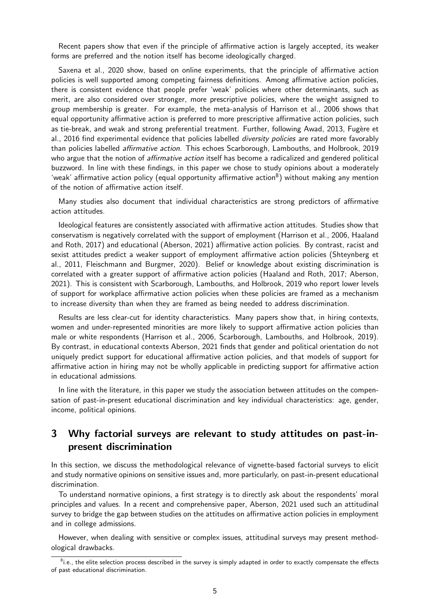Recent papers show that even if the principle of affirmative action is largely accepted, its weaker forms are preferred and the notion itself has become ideologically charged.

Saxena et al., 2020 show, based on online experiments, that the principle of affirmative action policies is well supported among competing fairness definitions. Among affirmative action policies, there is consistent evidence that people prefer 'weak' policies where other determinants, such as merit, are also considered over stronger, more prescriptive policies, where the weight assigned to group membership is greater. For example, the meta-analysis of Harrison et al., 2006 shows that equal opportunity affirmative action is preferred to more prescriptive affirmative action policies, such as tie-break, and weak and strong preferential treatment. Further, following Awad, 2013, Fugère et al., 2016 find experimental evidence that policies labelled *diversity policies* are rated more favorably than policies labelled affirmative action. This echoes Scarborough, Lambouths, and Holbrook, 2019 who argue that the notion of *affirmative action* itself has become a radicalized and gendered political buzzword. In line with these findings, in this paper we chose to study opinions about a moderately 'weak' affirmative action policy (equal opportunity affirmative action $^8$ ) without making any mention of the notion of affirmative action itself.

Many studies also document that individual characteristics are strong predictors of affirmative action attitudes.

Ideological features are consistently associated with affirmative action attitudes. Studies show that conservatism is negatively correlated with the support of employment (Harrison et al., 2006, Haaland and Roth, 2017) and educational (Aberson, 2021) affirmative action policies. By contrast, racist and sexist attitudes predict a weaker support of employment affirmative action policies (Shteynberg et al., 2011, Fleischmann and Burgmer, 2020). Belief or knowledge about existing discrimination is correlated with a greater support of affirmative action policies (Haaland and Roth, 2017; Aberson, 2021). This is consistent with Scarborough, Lambouths, and Holbrook, 2019 who report lower levels of support for workplace affirmative action policies when these policies are framed as a mechanism to increase diversity than when they are framed as being needed to address discrimination.

Results are less clear-cut for identity characteristics. Many papers show that, in hiring contexts, women and under-represented minorities are more likely to support affirmative action policies than male or white respondents (Harrison et al., 2006, Scarborough, Lambouths, and Holbrook, 2019). By contrast, in educational contexts Aberson, 2021 finds that gender and political orientation do not uniquely predict support for educational affirmative action policies, and that models of support for affirmative action in hiring may not be wholly applicable in predicting support for affirmative action in educational admissions.

In line with the literature, in this paper we study the association between attitudes on the compensation of past-in-present educational discrimination and key individual characteristics: age, gender, income, political opinions.

# 3 Why factorial surveys are relevant to study attitudes on past-inpresent discrimination

In this section, we discuss the methodological relevance of vignette-based factorial surveys to elicit and study normative opinions on sensitive issues and, more particularly, on past-in-present educational discrimination.

To understand normative opinions, a first strategy is to directly ask about the respondents' moral principles and values. In a recent and comprehensive paper, Aberson, 2021 used such an attitudinal survey to bridge the gap between studies on the attitudes on affirmative action policies in employment and in college admissions.

However, when dealing with sensitive or complex issues, attitudinal surveys may present methodological drawbacks.

 ${}^{8}$ i.e., the elite selection process described in the survey is simply adapted in order to exactly compensate the effects of past educational discrimination.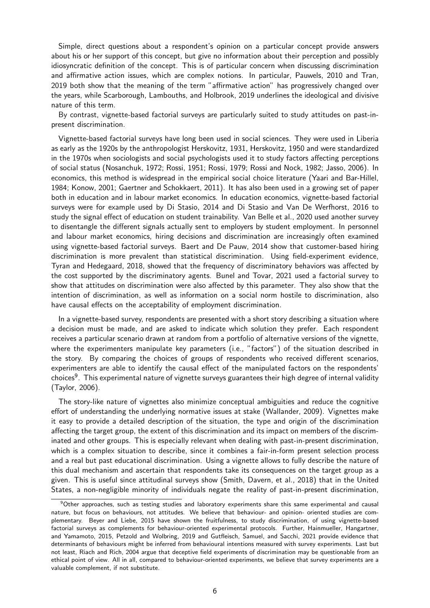Simple, direct questions about a respondent's opinion on a particular concept provide answers about his or her support of this concept, but give no information about their perception and possibly idiosyncratic definition of the concept. This is of particular concern when discussing discrimination and affirmative action issues, which are complex notions. In particular, Pauwels, 2010 and Tran, 2019 both show that the meaning of the term "affirmative action" has progressively changed over the years, while Scarborough, Lambouths, and Holbrook, 2019 underlines the ideological and divisive nature of this term.

By contrast, vignette-based factorial surveys are particularly suited to study attitudes on past-inpresent discrimination.

Vignette-based factorial surveys have long been used in social sciences. They were used in Liberia as early as the 1920s by the anthropologist Herskovitz, 1931, Herskovitz, 1950 and were standardized in the 1970s when sociologists and social psychologists used it to study factors affecting perceptions of social status (Nosanchuk, 1972; Rossi, 1951; Rossi, 1979; Rossi and Nock, 1982; Jasso, 2006). In economics, this method is widespread in the empirical social choice literature (Yaari and Bar-Hillel, 1984; Konow, 2001; Gaertner and Schokkaert, 2011). It has also been used in a growing set of paper both in education and in labour market economics. In education economics, vignette-based factorial surveys were for example used by Di Stasio, 2014 and Di Stasio and Van De Werfhorst, 2016 to study the signal effect of education on student trainability. Van Belle et al., 2020 used another survey to disentangle the different signals actually sent to employers by student employment. In personnel and labour market economics, hiring decisions and discrimination are increasingly often examined using vignette-based factorial surveys. Baert and De Pauw, 2014 show that customer-based hiring discrimination is more prevalent than statistical discrimination. Using field-experiment evidence, Tyran and Hedegaard, 2018, showed that the frequency of discriminatory behaviors was affected by the cost supported by the discriminatory agents. Bunel and Tovar, 2021 used a factorial survey to show that attitudes on discrimination were also affected by this parameter. They also show that the intention of discrimination, as well as information on a social norm hostile to discrimination, also have causal effects on the acceptability of employment discrimination.

In a vignette-based survey, respondents are presented with a short story describing a situation where a decision must be made, and are asked to indicate which solution they prefer. Each respondent receives a particular scenario drawn at random from a portfolio of alternative versions of the vignette, where the experimenters manipulate key parameters (i.e., "factors") of the situation described in the story. By comparing the choices of groups of respondents who received different scenarios, experimenters are able to identify the causal effect of the manipulated factors on the respondents' choices<sup>9</sup>. This experimental nature of vignette surveys guarantees their high degree of internal validity (Taylor, 2006).

The story-like nature of vignettes also minimize conceptual ambiguities and reduce the cognitive effort of understanding the underlying normative issues at stake (Wallander, 2009). Vignettes make it easy to provide a detailed description of the situation, the type and origin of the discrimination affecting the target group, the extent of this discrimination and its impact on members of the discriminated and other groups. This is especially relevant when dealing with past-in-present discrimination, which is a complex situation to describe, since it combines a fair-in-form present selection process and a real but past educational discrimination. Using a vignette allows to fully describe the nature of this dual mechanism and ascertain that respondents take its consequences on the target group as a given. This is useful since attitudinal surveys show (Smith, Davern, et al., 2018) that in the United States, a non-negligible minority of individuals negate the reality of past-in-present discrimination,

 $9$ Other approaches, such as testing studies and laboratory experiments share this same experimental and causal nature, but focus on behaviours, not attitudes. We believe that behaviour- and opinion- oriented studies are complementary. Beyer and Liebe, 2015 have shown the fruitfulness, to study discrimination, of using vignette-based factorial surveys as complements for behaviour-oriented experimental protocols. Further, Hainmueller, Hangartner, and Yamamoto, 2015, Petzold and Wolbring, 2019 and Gutfleisch, Samuel, and Sacchi, 2021 provide evidence that determinants of behaviours might be inferred from behavioural intentions measured with survey experiments. Last but not least, Riach and Rich, 2004 argue that deceptive field experiments of discrimination may be questionable from an ethical point of view. All in all, compared to behaviour-oriented experiments, we believe that survey experiments are a valuable complement, if not substitute.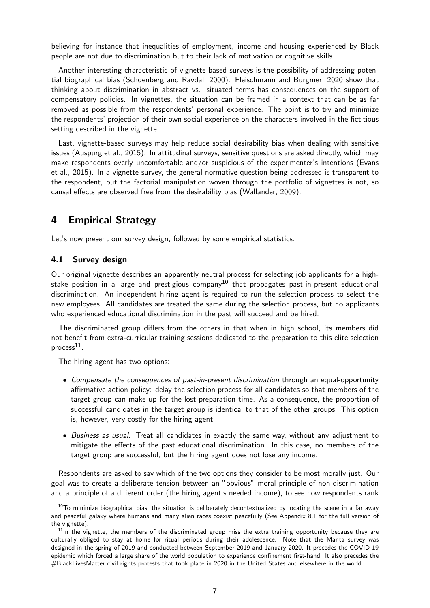believing for instance that inequalities of employment, income and housing experienced by Black people are not due to discrimination but to their lack of motivation or cognitive skills.

Another interesting characteristic of vignette-based surveys is the possibility of addressing potential biographical bias (Schoenberg and Ravdal, 2000). Fleischmann and Burgmer, 2020 show that thinking about discrimination in abstract vs. situated terms has consequences on the support of compensatory policies. In vignettes, the situation can be framed in a context that can be as far removed as possible from the respondents' personal experience. The point is to try and minimize the respondents' projection of their own social experience on the characters involved in the fictitious setting described in the vignette.

Last, vignette-based surveys may help reduce social desirability bias when dealing with sensitive issues (Auspurg et al., 2015). In attitudinal surveys, sensitive questions are asked directly, which may make respondents overly uncomfortable and/or suspicious of the experimenter's intentions (Evans et al., 2015). In a vignette survey, the general normative question being addressed is transparent to the respondent, but the factorial manipulation woven through the portfolio of vignettes is not, so causal effects are observed free from the desirability bias (Wallander, 2009).

# 4 Empirical Strategy

Let's now present our survey design, followed by some empirical statistics.

#### 4.1 Survey design

Our original vignette describes an apparently neutral process for selecting job applicants for a highstake position in a large and prestigious company<sup>10</sup> that propagates past-in-present educational discrimination. An independent hiring agent is required to run the selection process to select the new employees. All candidates are treated the same during the selection process, but no applicants who experienced educational discrimination in the past will succeed and be hired.

The discriminated group differs from the others in that when in high school, its members did not benefit from extra-curricular training sessions dedicated to the preparation to this elite selection  $process<sup>11</sup>$ .

The hiring agent has two options:

- Compensate the consequences of past-in-present discrimination through an equal-opportunity affirmative action policy: delay the selection process for all candidates so that members of the target group can make up for the lost preparation time. As a consequence, the proportion of successful candidates in the target group is identical to that of the other groups. This option is, however, very costly for the hiring agent.
- Business as usual. Treat all candidates in exactly the same way, without any adjustment to mitigate the effects of the past educational discrimination. In this case, no members of the target group are successful, but the hiring agent does not lose any income.

Respondents are asked to say which of the two options they consider to be most morally just. Our goal was to create a deliberate tension between an "obvious" moral principle of non-discrimination and a principle of a different order (the hiring agent's needed income), to see how respondents rank

 $10$ To minimize biographical bias, the situation is deliberately decontextualized by locating the scene in a far away and peaceful galaxy where humans and many alien races coexist peacefully (See Appendix 8.1 for the full version of the vignette).

 $11$ In the vignette, the members of the discriminated group miss the extra training opportunity because they are culturally obliged to stay at home for ritual periods during their adolescence. Note that the Manta survey was designed in the spring of 2019 and conducted between September 2019 and January 2020. It precedes the COVID-19 epidemic which forced a large share of the world population to experience confinement first-hand. It also precedes the #BlackLivesMatter civil rights protests that took place in 2020 in the United States and elsewhere in the world.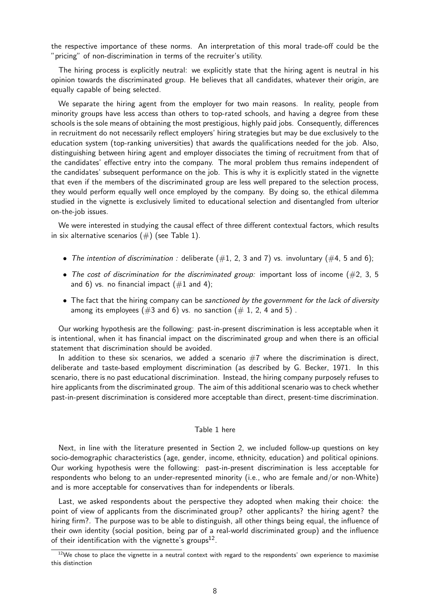the respective importance of these norms. An interpretation of this moral trade-off could be the "pricing" of non-discrimination in terms of the recruiter's utility.

The hiring process is explicitly neutral: we explicitly state that the hiring agent is neutral in his opinion towards the discriminated group. He believes that all candidates, whatever their origin, are equally capable of being selected.

We separate the hiring agent from the employer for two main reasons. In reality, people from minority groups have less access than others to top-rated schools, and having a degree from these schools is the sole means of obtaining the most prestigious, highly paid jobs. Consequently, differences in recruitment do not necessarily reflect employers' hiring strategies but may be due exclusively to the education system (top-ranking universities) that awards the qualifications needed for the job. Also, distinguishing between hiring agent and employer dissociates the timing of recruitment from that of the candidates' effective entry into the company. The moral problem thus remains independent of the candidates' subsequent performance on the job. This is why it is explicitly stated in the vignette that even if the members of the discriminated group are less well prepared to the selection process, they would perform equally well once employed by the company. By doing so, the ethical dilemma studied in the vignette is exclusively limited to educational selection and disentangled from ulterior on-the-job issues.

We were interested in studying the causal effect of three different contextual factors, which results in six alternative scenarios  $(\#)$  (see Table 1).

- The intention of discrimination : deliberate  $(\#1, 2, 3 \text{ and } 7)$  vs. involuntary  $(\#4, 5 \text{ and } 6)$ ;
- The cost of discrimination for the discriminated group: important loss of income  $(\#2, 3, 5)$ and 6) vs. no financial impact  $(\#1 \text{ and } 4)$ ;
- The fact that the hiring company can be sanctioned by the government for the lack of diversity among its employees  $(\#3 \text{ and } 6)$  vs. no sanction  $(\# 1, 2, 4 \text{ and } 5)$ .

Our working hypothesis are the following: past-in-present discrimination is less acceptable when it is intentional, when it has financial impact on the discriminated group and when there is an official statement that discrimination should be avoided.

In addition to these six scenarios, we added a scenario  $#7$  where the discrimination is direct, deliberate and taste-based employment discrimination (as described by G. Becker, 1971. In this scenario, there is no past educational discrimination. Instead, the hiring company purposely refuses to hire applicants from the discriminated group. The aim of this additional scenario was to check whether past-in-present discrimination is considered more acceptable than direct, present-time discrimination.

#### Table 1 here

Next, in line with the literature presented in Section 2, we included follow-up questions on key socio-demographic characteristics (age, gender, income, ethnicity, education) and political opinions. Our working hypothesis were the following: past-in-present discrimination is less acceptable for respondents who belong to an under-represented minority (i.e., who are female and/or non-White) and is more acceptable for conservatives than for independents or liberals.

Last, we asked respondents about the perspective they adopted when making their choice: the point of view of applicants from the discriminated group? other applicants? the hiring agent? the hiring firm?. The purpose was to be able to distinguish, all other things being equal, the influence of their own identity (social position, being par of a real-world discriminated group) and the influence of their identification with the vignette's groups $^{12}$ .

 $12$ We chose to place the vignette in a neutral context with regard to the respondents' own experience to maximise this distinction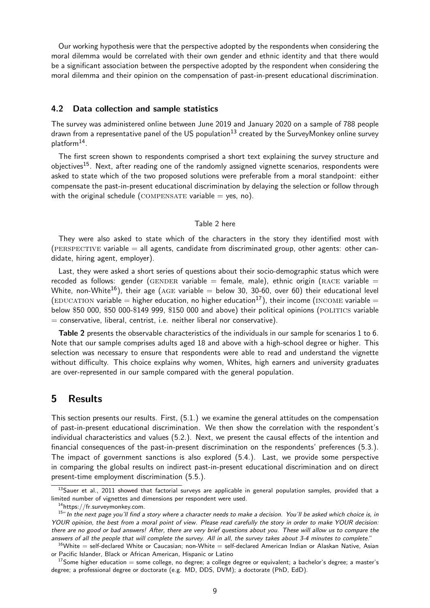Our working hypothesis were that the perspective adopted by the respondents when considering the moral dilemma would be correlated with their own gender and ethnic identity and that there would be a significant association between the perspective adopted by the respondent when considering the moral dilemma and their opinion on the compensation of past-in-present educational discrimination.

#### 4.2 Data collection and sample statistics

The survey was administered online between June 2019 and January 2020 on a sample of 788 people drawn from a representative panel of the US population<sup>13</sup> created by the SurveyMonkey online survey platform<sup>14</sup>.

The first screen shown to respondents comprised a short text explaining the survey structure and objectives<sup>15</sup>. Next, after reading one of the randomly assigned vignette scenarios, respondents were asked to state which of the two proposed solutions were preferable from a moral standpoint: either compensate the past-in-present educational discrimination by delaying the selection or follow through with the original schedule (COMPENSATE variable  $=$  yes, no).

#### Table 2 here

They were also asked to state which of the characters in the story they identified most with (PERSPECTIVE variable  $=$  all agents, candidate from discriminated group, other agents: other candidate, hiring agent, employer).

Last, they were asked a short series of questions about their socio-demographic status which were recoded as follows: gender (GENDER variable = female, male), ethnic origin (RACE variable = White, non-White<sup>16</sup>), their age (AGE variable = below 30, 30-60, over 60) their educational level (EDUCATION variable = higher education, no higher education<sup>17</sup>), their income (INCOME variable = below \$50 000, \$50 000-\$149 999, \$150 000 and above) their political opinions (POLITICS variable  $=$  conservative, liberal, centrist, i.e. neither liberal nor conservative).

Table 2 presents the observable characteristics of the individuals in our sample for scenarios 1 to 6. Note that our sample comprises adults aged 18 and above with a high-school degree or higher. This selection was necessary to ensure that respondents were able to read and understand the vignette without difficulty. This choice explains why women, Whites, high earners and university graduates are over-represented in our sample compared with the general population.

## 5 Results

This section presents our results. First, (5.1.) we examine the general attitudes on the compensation of past-in-present educational discrimination. We then show the correlation with the respondent's individual characteristics and values (5.2.). Next, we present the causal effects of the intention and financial consequences of the past-in-present discrimination on the respondents' preferences (5.3.). The impact of government sanctions is also explored (5.4.). Last, we provide some perspective in comparing the global results on indirect past-in-present educational discrimination and on direct present-time employment discrimination (5.5.).

 $13$ Sauer et al., 2011 showed that factorial surveys are applicable in general population samples, provided that a limited number of vignettes and dimensions per respondent were used.

<sup>14</sup>https://fr.surveymonkey.com.

<sup>&</sup>lt;sup>15</sup>" In the next page you'll find a story where a character needs to make a decision. You'll be asked which choice is, in YOUR opinion, the best from a moral point of view. Please read carefully the story in order to make YOUR decision: there are no good or bad answers! After, there are very brief questions about you. These will allow us to compare the answers of all the people that will complete the survey. All in all, the survey takes about 3-4 minutes to complete."

 $16$ White = self-declared White or Caucasian; non-White = self-declared American Indian or Alaskan Native, Asian or Pacific Islander, Black or African American, Hispanic or Latino

 $17$ Some higher education = some college, no degree; a college degree or equivalent; a bachelor's degree; a master's degree; a professional degree or doctorate (e.g. MD, DDS, DVM); a doctorate (PhD, EdD).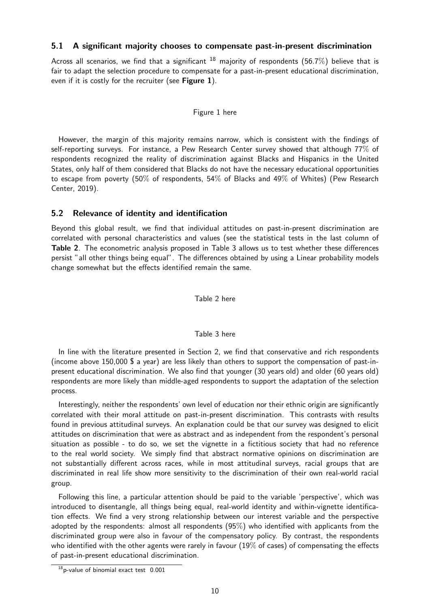#### 5.1 A significant majority chooses to compensate past-in-present discrimination

Across all scenarios, we find that a significant  $^{18}$  majority of respondents (56.7%) believe that is fair to adapt the selection procedure to compensate for a past-in-present educational discrimination, even if it is costly for the recruiter (see Figure  $1$ ).

#### Figure 1 here

However, the margin of this majority remains narrow, which is consistent with the findings of self-reporting surveys. For instance, a Pew Research Center survey showed that although 77% of respondents recognized the reality of discrimination against Blacks and Hispanics in the United States, only half of them considered that Blacks do not have the necessary educational opportunities to escape from poverty (50% of respondents, 54% of Blacks and 49% of Whites) (Pew Research Center, 2019).

## 5.2 Relevance of identity and identification

Beyond this global result, we find that individual attitudes on past-in-present discrimination are correlated with personal characteristics and values (see the statistical tests in the last column of Table 2. The econometric analysis proposed in Table 3 allows us to test whether these differences persist "all other things being equal". The differences obtained by using a Linear probability models change somewhat but the effects identified remain the same.

Table 2 here

#### Table 3 here

In line with the literature presented in Section 2, we find that conservative and rich respondents (income above 150,000 \$ a year) are less likely than others to support the compensation of past-inpresent educational discrimination. We also find that younger (30 years old) and older (60 years old) respondents are more likely than middle-aged respondents to support the adaptation of the selection process.

Interestingly, neither the respondents' own level of education nor their ethnic origin are significantly correlated with their moral attitude on past-in-present discrimination. This contrasts with results found in previous attitudinal surveys. An explanation could be that our survey was designed to elicit attitudes on discrimination that were as abstract and as independent from the respondent's personal situation as possible - to do so, we set the vignette in a fictitious society that had no reference to the real world society. We simply find that abstract normative opinions on discrimination are not substantially different across races, while in most attitudinal surveys, racial groups that are discriminated in real life show more sensitivity to the discrimination of their own real-world racial group.

Following this line, a particular attention should be paid to the variable 'perspective', which was introduced to disentangle, all things being equal, real-world identity and within-vignette identification effects. We find a very strong relationship between our interest variable and the perspective adopted by the respondents: almost all respondents (95%) who identified with applicants from the discriminated group were also in favour of the compensatory policy. By contrast, the respondents who identified with the other agents were rarely in favour  $(19\%$  of cases) of compensating the effects of past-in-present educational discrimination.

 $18$ <sub>p</sub>-value of binomial exact test  $0.001$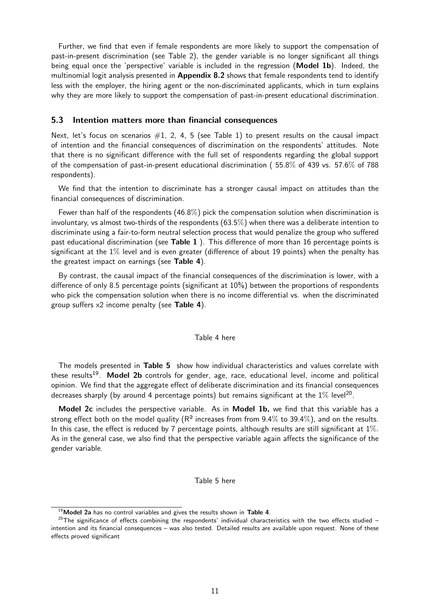Further, we find that even if female respondents are more likely to support the compensation of past-in-present discrimination (see Table 2), the gender variable is no longer significant all things being equal once the 'perspective' variable is included in the regression (**Model 1b**). Indeed, the multinomial logit analysis presented in **Appendix 8.2** shows that female respondents tend to identify less with the employer, the hiring agent or the non-discriminated applicants, which in turn explains why they are more likely to support the compensation of past-in-present educational discrimination.

#### 5.3 Intention matters more than financial consequences

Next, let's focus on scenarios  $\#1$ , 2, 4, 5 (see Table 1) to present results on the causal impact of intention and the financial consequences of discrimination on the respondents' attitudes. Note that there is no significant difference with the full set of respondents regarding the global support of the compensation of past-in-present educational discrimination ( 55.8% of 439 vs. 57.6% of 788 respondents).

We find that the intention to discriminate has a stronger causal impact on attitudes than the financial consequences of discrimination.

Fewer than half of the respondents  $(46.8\%)$  pick the compensation solution when discrimination is involuntary, vs almost two-thirds of the respondents (63.5%) when there was a deliberate intention to discriminate using a fair-to-form neutral selection process that would penalize the group who suffered past educational discrimination (see Table 1 ). This difference of more than 16 percentage points is significant at the  $1\%$  level and is even greater (difference of about 19 points) when the penalty has the greatest impact on earnings (see Table 4).

By contrast, the causal impact of the financial consequences of the discrimination is lower, with a difference of only 8.5 percentage points (significant at 10%) between the proportions of respondents who pick the compensation solution when there is no income differential vs. when the discriminated group suffers x2 income penalty (see Table 4).

#### Table 4 here

The models presented in Table 5 show how individual characteristics and values correlate with these results<sup>19</sup>. Model 2b controls for gender, age, race, educational level, income and political opinion. We find that the aggregate effect of deliberate discrimination and its financial consequences decreases sharply (by around 4 percentage points) but remains significant at the  $1\%$  level $^{20}.$ 

Model 2c includes the perspective variable. As in Model 1b, we find that this variable has a strong effect both on the model quality ( $R^2$  increases from from 9.4% to 39.4%), and on the results. In this case, the effect is reduced by 7 percentage points, although results are still significant at  $1\%$ . As in the general case, we also find that the perspective variable again affects the significance of the gender variable.

#### Table 5 here

 $19$  Model 2a has no control variables and gives the results shown in Table 4.

 $20$ The significance of effects combining the respondents' individual characteristics with the two effects studied – intention and its financial consequences – was also tested. Detailed results are available upon request. None of these effects proved significant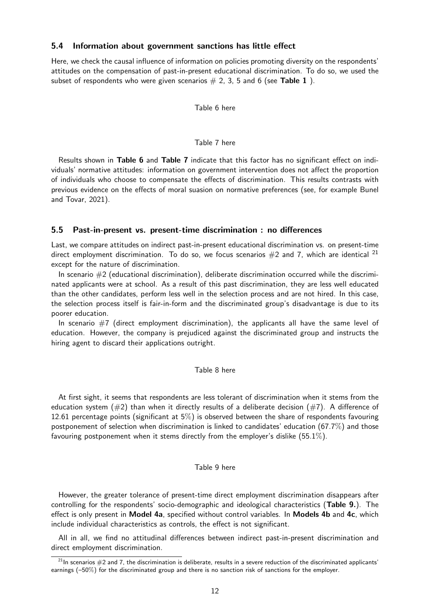#### 5.4 Information about government sanctions has little effect

Here, we check the causal influence of information on policies promoting diversity on the respondents' attitudes on the compensation of past-in-present educational discrimination. To do so, we used the subset of respondents who were given scenarios  $# 2, 3, 5$  and 6 (see Table 1).

Table 6 here

#### Table 7 here

Results shown in Table 6 and Table 7 indicate that this factor has no significant effect on individuals' normative attitudes: information on government intervention does not affect the proportion of individuals who choose to compensate the effects of discrimination. This results contrasts with previous evidence on the effects of moral suasion on normative preferences (see, for example Bunel and Tovar, 2021).

#### 5.5 Past-in-present vs. present-time discrimination : no differences

Last, we compare attitudes on indirect past-in-present educational discrimination vs. on present-time direct employment discrimination. To do so, we focus scenarios  $#2$  and 7, which are identical  $^{21}$ except for the nature of discrimination.

In scenario  $#2$  (educational discrimination), deliberate discrimination occurred while the discriminated applicants were at school. As a result of this past discrimination, they are less well educated than the other candidates, perform less well in the selection process and are not hired. In this case, the selection process itself is fair-in-form and the discriminated group's disadvantage is due to its poorer education.

In scenario  $#7$  (direct employment discrimination), the applicants all have the same level of education. However, the company is prejudiced against the discriminated group and instructs the hiring agent to discard their applications outright.

#### Table 8 here

At first sight, it seems that respondents are less tolerant of discrimination when it stems from the education system ( $\#2$ ) than when it directly results of a deliberate decision ( $\#7$ ). A difference of 12.61 percentage points (significant at 5%) is observed between the share of respondents favouring postponement of selection when discrimination is linked to candidates' education (67.7%) and those favouring postponement when it stems directly from the employer's dislike (55.1%).

#### Table 9 here

However, the greater tolerance of present-time direct employment discrimination disappears after controlling for the respondents' socio-demographic and ideological characteristics (Table 9.). The effect is only present in Model 4a, specified without control variables. In Models 4b and 4c, which include individual characteristics as controls, the effect is not significant.

All in all, we find no attitudinal differences between indirect past-in-present discrimination and direct employment discrimination.

 $21$ In scenarios  $#2$  and 7, the discrimination is deliberate, results in a severe reduction of the discriminated applicants' earnings (–50%) for the discriminated group and there is no sanction risk of sanctions for the employer.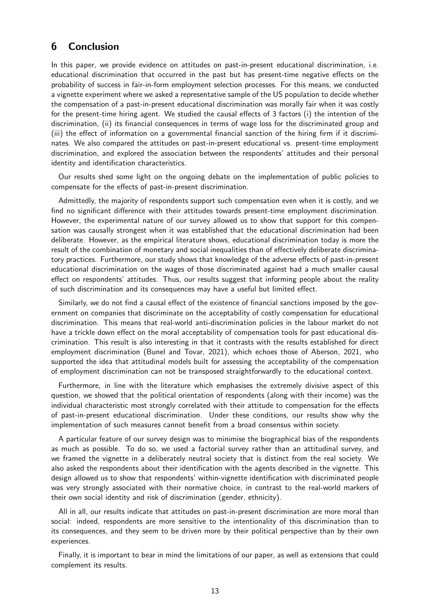# 6 Conclusion

In this paper, we provide evidence on attitudes on past-in-present educational discrimination, i.e. educational discrimination that occurred in the past but has present-time negative effects on the probability of success in fair-in-form employment selection processes. For this means, we conducted a vignette experiment where we asked a representative sample of the US population to decide whether the compensation of a past-in-present educational discrimination was morally fair when it was costly for the present-time hiring agent. We studied the causal effects of 3 factors (i) the intention of the discrimination, (ii) its financial consequences in terms of wage loss for the discriminated group and (iii) the effect of information on a governmental financial sanction of the hiring firm if it discriminates. We also compared the attitudes on past-in-present educational vs. present-time employment discrimination, and explored the association between the respondents' attitudes and their personal identity and identification characteristics.

Our results shed some light on the ongoing debate on the implementation of public policies to compensate for the effects of past-in-present discrimination.

Admittedly, the majority of respondents support such compensation even when it is costly, and we find no significant difference with their attitudes towards present-time employment discrimination. However, the experimental nature of our survey allowed us to show that support for this compensation was causally strongest when it was established that the educational discrimination had been deliberate. However, as the empirical literature shows, educational discrimination today is more the result of the combination of monetary and social inequalities than of effectively deliberate discriminatory practices. Furthermore, our study shows that knowledge of the adverse effects of past-in-present educational discrimination on the wages of those discriminated against had a much smaller causal effect on respondents' attitudes. Thus, our results suggest that informing people about the reality of such discrimination and its consequences may have a useful but limited effect.

Similarly, we do not find a causal effect of the existence of financial sanctions imposed by the government on companies that discriminate on the acceptability of costly compensation for educational discrimination. This means that real-world anti-discrimination policies in the labour market do not have a trickle down effect on the moral acceptability of compensation tools for past educational discrimination. This result is also interesting in that it contrasts with the results established for direct employment discrimination (Bunel and Tovar, 2021), which echoes those of Aberson, 2021, who supported the idea that attitudinal models built for assessing the acceptability of the compensation of employment discrimination can not be transposed straightforwardly to the educational context.

Furthermore, in line with the literature which emphasises the extremely divisive aspect of this question, we showed that the political orientation of respondents (along with their income) was the individual characteristic most strongly correlated with their attitude to compensation for the effects of past-in-present educational discrimination. Under these conditions, our results show why the implementation of such measures cannot benefit from a broad consensus within society.

A particular feature of our survey design was to minimise the biographical bias of the respondents as much as possible. To do so, we used a factorial survey rather than an attitudinal survey, and we framed the vignette in a deliberately neutral society that is distinct from the real society. We also asked the respondents about their identification with the agents described in the vignette. This design allowed us to show that respondents' within-vignette identification with discriminated people was very strongly associated with their normative choice, in contrast to the real-world markers of their own social identity and risk of discrimination (gender, ethnicity).

All in all, our results indicate that attitudes on past-in-present discrimination are more moral than social: indeed, respondents are more sensitive to the intentionality of this discrimination than to its consequences, and they seem to be driven more by their political perspective than by their own experiences.

Finally, it is important to bear in mind the limitations of our paper, as well as extensions that could complement its results.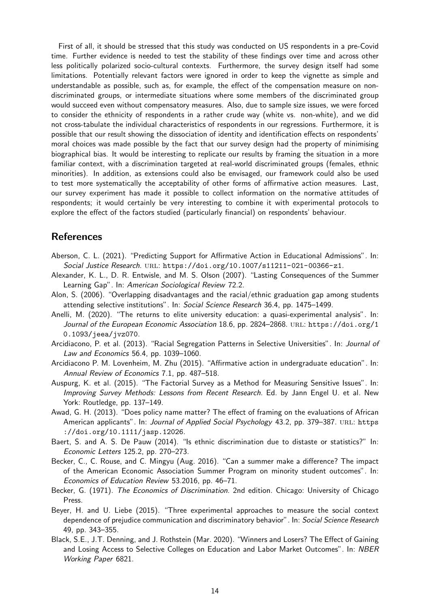First of all, it should be stressed that this study was conducted on US respondents in a pre-Covid time. Further evidence is needed to test the stability of these findings over time and across other less politically polarized socio-cultural contexts. Furthermore, the survey design itself had some limitations. Potentially relevant factors were ignored in order to keep the vignette as simple and understandable as possible, such as, for example, the effect of the compensation measure on nondiscriminated groups, or intermediate situations where some members of the discriminated group would succeed even without compensatory measures. Also, due to sample size issues, we were forced to consider the ethnicity of respondents in a rather crude way (white vs. non-white), and we did not cross-tabulate the individual characteristics of respondents in our regressions. Furthermore, it is possible that our result showing the dissociation of identity and identification effects on respondents' moral choices was made possible by the fact that our survey design had the property of minimising biographical bias. It would be interesting to replicate our results by framing the situation in a more familiar context, with a discrimination targeted at real-world discriminated groups (females, ethnic minorities). In addition, as extensions could also be envisaged, our framework could also be used to test more systematically the acceptability of other forms of affirmative action measures. Last, our survey experiment has made it possible to collect information on the normative attitudes of respondents; it would certainly be very interesting to combine it with experimental protocols to explore the effect of the factors studied (particularly financial) on respondents' behaviour.

# References

- Aberson, C. L. (2021). "Predicting Support for Affirmative Action in Educational Admissions". In: Social Justice Research. URL: https://doi.org/10.1007/s11211-021-00366-z1.
- Alexander, K. L., D. R. Entwisle, and M. S. Olson (2007). "Lasting Consequences of the Summer Learning Gap". In: American Sociological Review 72.2.
- Alon, S. (2006). "Overlapping disadvantages and the racial/ethnic graduation gap among students attending selective institutions". In: Social Science Research 36.4, pp. 1475–1499.
- Anelli, M. (2020). "The returns to elite university education: a quasi-experimental analysis". In: Journal of the European Economic Association 18.6, pp. 2824-2868. URL: https://doi.org/1 0.1093/jeea/jvz070.
- Arcidiacono, P. et al. (2013). "Racial Segregation Patterns in Selective Universities". In: Journal of Law and Economics 56.4, pp. 1039–1060.
- Arcidiacono P. M. Lovenheim, M. Zhu (2015). "Affirmative action in undergraduate education". In: Annual Review of Economics 7.1, pp. 487–518.
- Auspurg, K. et al. (2015). "The Factorial Survey as a Method for Measuring Sensitive Issues". In: Improving Survey Methods: Lessons from Recent Research. Ed. by Jann Engel U. et al. New York: Routledge, pp. 137–149.
- Awad, G. H. (2013). "Does policy name matter? The effect of framing on the evaluations of African American applicants". In: Journal of Applied Social Psychology 43.2, pp. 379-387. URL: https ://doi.org/10.1111/jasp.12026.
- Baert, S. and A. S. De Pauw (2014). "Is ethnic discrimination due to distaste or statistics?" In: Economic Letters 125.2, pp. 270–273.
- Becker, C., C. Rouse, and C. Mingyu (Aug. 2016). "Can a summer make a difference? The impact of the American Economic Association Summer Program on minority student outcomes". In: Economics of Education Review 53.2016, pp. 46–71.
- Becker, G. (1971). The Economics of Discrimination. 2nd edition. Chicago: University of Chicago Press.
- Beyer, H. and U. Liebe (2015). "Three experimental approaches to measure the social context dependence of prejudice communication and discriminatory behavior". In: Social Science Research 49, pp. 343–355.
- Black, S.E., J.T. Denning, and J. Rothstein (Mar. 2020). "Winners and Losers? The Effect of Gaining and Losing Access to Selective Colleges on Education and Labor Market Outcomes". In: NBER Working Paper 6821.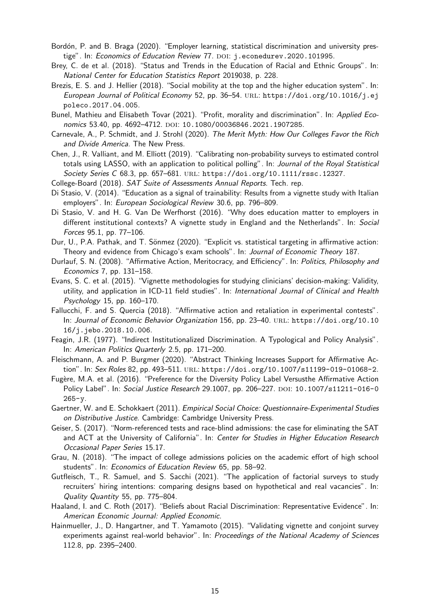- Bordón, P. and B. Braga (2020). "Employer learning, statistical discrimination and university prestige". In: Economics of Education Review 77. DOI: j.econedurev.2020.101995.
- Brey, C. de et al. (2018). "Status and Trends in the Education of Racial and Ethnic Groups". In: National Center for Education Statistics Report 2019038, p. 228.
- Brezis, E. S. and J. Hellier (2018). "Social mobility at the top and the higher education system". In: European Journal of Political Economy 52, pp. 36–54. URL: https://doi.org/10.1016/j.ej poleco.2017.04.005.
- Bunel, Mathieu and Elisabeth Tovar (2021). "Profit, morality and discrimination". In: Applied Economics 53.40, pp. 4692-4712. DOI: 10.1080/00036846.2021.1907285.
- Carnevale, A., P. Schmidt, and J. Strohl (2020). The Merit Myth: How Our Colleges Favor the Rich and Divide America. The New Press.
- Chen, J., R. Valliant, and M. Elliott (2019). "Calibrating non-probability surveys to estimated control totals using LASSO, with an application to political polling". In: Journal of the Royal Statistical Society Series C 68.3, pp. 657–681. url: https://doi.org/10.1111/rssc.12327.
- College-Board (2018). SAT Suite of Assessments Annual Reports. Tech. rep.
- Di Stasio, V. (2014). "Education as a signal of trainability: Results from a vignette study with Italian employers". In: European Sociological Review 30.6, pp. 796–809.
- Di Stasio, V. and H. G. Van De Werfhorst (2016). "Why does education matter to employers in different institutional contexts? A vignette study in England and the Netherlands". In: Social Forces 95.1, pp. 77–106.
- Dur, U., P.A. Pathak, and T. Sönmez (2020). "Explicit vs. statistical targeting in affirmative action: Theory and evidence from Chicago's exam schools". In: Journal of Economic Theory 187.
- Durlauf, S. N. (2008). "Affirmative Action, Meritocracy, and Efficiency". In: Politics, Philosophy and Economics 7, pp. 131–158.
- Evans, S. C. et al. (2015). "Vignette methodologies for studying clinicians' decision-making: Validity, utility, and application in ICD-11 field studies". In: International Journal of Clinical and Health Psychology 15, pp. 160–170.
- Fallucchi, F. and S. Quercia (2018). "Affirmative action and retaliation in experimental contests". In: Journal of Economic Behavior Organization 156, pp. 23-40. URL: https://doi.org/10.10 16/j.jebo.2018.10.006.
- Feagin, J.R. (1977). "Indirect Institutionalized Discrimination. A Typological and Policy Analysis". In: American Politics Quarterly 2.5, pp. 171–200.
- Fleischmann, A. and P. Burgmer (2020). "Abstract Thinking Increases Support for Affirmative Action". In: Sex Roles 82, pp. 493-511. URL: https://doi.org/10.1007/s11199-019-01068-2.
- Fugère, M.A. et al. (2016). "Preference for the Diversity Policy Label Versusthe Affirmative Action Policy Label". In: Social Justice Research 29.1007, pp. 206-227. DOI: 10.1007/s11211-016-0 265-y.
- Gaertner, W. and E. Schokkaert (2011). Empirical Social Choice: Questionnaire-Experimental Studies on Distributive Justice. Cambridge: Cambridge University Press.
- Geiser, S. (2017). "Norm-referenced tests and race-blind admissions: the case for eliminating the SAT and ACT at the University of California". In: Center for Studies in Higher Education Research Occasional Paper Series 15.17.
- Grau, N. (2018). "The impact of college admissions policies on the academic effort of high school students". In: Economics of Education Review 65, pp. 58–92.
- Gutfleisch, T., R. Samuel, and S. Sacchi (2021). "The application of factorial surveys to study recruiters' hiring intentions: comparing designs based on hypothetical and real vacancies". In: Quality Quantity 55, pp. 775–804.
- Haaland, I. and C. Roth (2017). "Beliefs about Racial Discrimination: Representative Evidence". In: American Economic Journal: Applied Economic.
- Hainmueller, J., D. Hangartner, and T. Yamamoto (2015). "Validating vignette and conjoint survey experiments against real-world behavior". In: Proceedings of the National Academy of Sciences 112.8, pp. 2395–2400.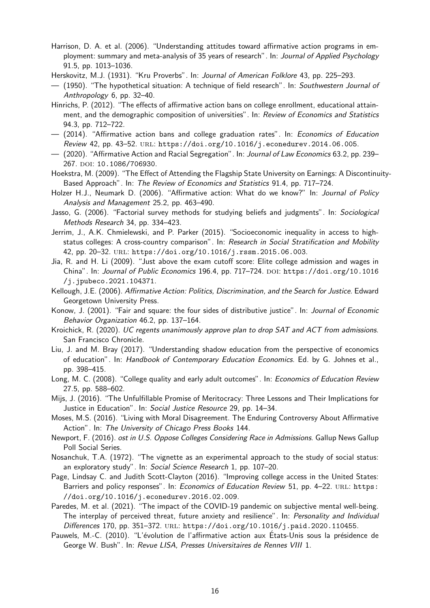- Harrison, D. A. et al. (2006). "Understanding attitudes toward affirmative action programs in employment: summary and meta-analysis of 35 years of research". In: Journal of Applied Psychology 91.5, pp. 1013–1036.
- Herskovitz, M.J. (1931). "Kru Proverbs". In: Journal of American Folklore 43, pp. 225–293.
- (1950). "The hypothetical situation: A technique of field research". In: Southwestern Journal of Anthropology 6, pp. 32–40.
- Hinrichs, P. (2012). "The effects of affirmative action bans on college enrollment, educational attainment, and the demographic composition of universities". In: Review of Economics and Statistics 94.3, pp. 712–722.
- (2014). "Affirmative action bans and college graduation rates". In: Economics of Education Review 42, pp. 43–52. url: https://doi.org/10.1016/j.econedurev.2014.06.005.
- (2020). "Affirmative Action and Racial Segregation". In: Journal of Law Economics 63.2, pp. 239– 267. DOI: 10.1086/706930.
- Hoekstra, M. (2009). "The Effect of Attending the Flagship State University on Earnings: A Discontinuity-Based Approach". In: The Review of Economics and Statistics 91.4, pp. 717–724.
- Holzer H.J., Neumark D. (2006). "Affirmative action: What do we know?" In: Journal of Policy Analysis and Management 25.2, pp. 463–490.
- Jasso, G. (2006). "Factorial survey methods for studying beliefs and judgments". In: Sociological Methods Research 34, pp. 334–423.
- Jerrim, J., A.K. Chmielewski, and P. Parker (2015). "Socioeconomic inequality in access to highstatus colleges: A cross-country comparison". In: Research in Social Stratification and Mobility 42, pp. 20–32. url: https://doi.org/10.1016/j.rssm.2015.06.003.
- Jia, R. and H. Li (2009). "Just above the exam cutoff score: Elite college admission and wages in China". In: Journal of Public Economics 196.4, pp. 717-724. DOI: https://doi.org/10.1016 /j.jpubeco.2021.104371.
- Kellough, J.E. (2006). Affirmative Action: Politics, Discrimination, and the Search for Justice. Edward Georgetown University Press.
- Konow, J. (2001). "Fair and square: the four sides of distributive justice". In: Journal of Economic Behavior Organization 46.2, pp. 137–164.
- Kroichick, R. (2020). UC regents unanimously approve plan to drop SAT and ACT from admissions. San Francisco Chronicle.
- Liu, J. and M. Bray (2017). "Understanding shadow education from the perspective of economics of education". In: Handbook of Contemporary Education Economics. Ed. by G. Johnes et al., pp. 398–415.
- Long, M. C. (2008). "College quality and early adult outcomes". In: Economics of Education Review 27.5, pp. 588–602.
- Mijs, J. (2016). "The Unfulfillable Promise of Meritocracy: Three Lessons and Their Implications for Justice in Education". In: Social Justice Resource 29, pp. 14-34.
- Moses, M.S. (2016). "Living with Moral Disagreement. The Enduring Controversy About Affirmative Action". In: The University of Chicago Press Books 144.
- Newport, F. (2016). ost in U.S. Oppose Colleges Considering Race in Admissions. Gallup News Gallup Poll Social Series.
- Nosanchuk, T.A. (1972). "The vignette as an experimental approach to the study of social status: an exploratory study". In: Social Science Research 1, pp. 107–20.
- Page, Lindsay C. and Judith Scott-Clayton (2016). "Improving college access in the United States: Barriers and policy responses". In: Economics of Education Review 51, pp. 4-22. URL: https: //doi.org/10.1016/j.econedurev.2016.02.009.
- Paredes, M. et al. (2021). "The impact of the COVID-19 pandemic on subjective mental well-being. The interplay of perceived threat, future anxiety and resilience". In: Personality and Individual Differences 170, pp. 351-372. URL: https://doi.org/10.1016/j.paid.2020.110455.
- Pauwels, M.-C. (2010). "L'évolution de l'affirmative action aux États-Unis sous la présidence de George W. Bush". In: Revue LISA, Presses Universitaires de Rennes VIII 1.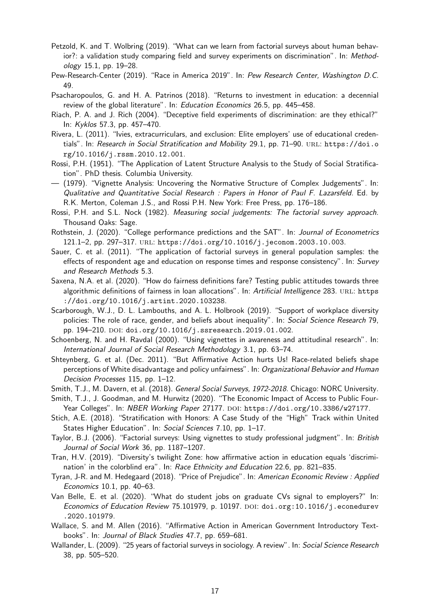- Petzold, K. and T. Wolbring (2019). "What can we learn from factorial surveys about human behavior?: a validation study comparing field and survey experiments on discrimination". In: Methodology 15.1, pp. 19–28.
- Pew-Research-Center (2019). "Race in America 2019". In: Pew Research Center, Washington D.C. 49.
- Psacharopoulos, G. and H. A. Patrinos (2018). "Returns to investment in education: a decennial review of the global literature". In: Education Economics 26.5, pp. 445–458.
- Riach, P. A. and J. Rich (2004). "Deceptive field experiments of discrimination: are they ethical?" In: Kyklos 57.3, pp. 457–470.
- Rivera, L. (2011). "Ivies, extracurriculars, and exclusion: Elite employers' use of educational credentials". In: Research in Social Stratification and Mobility 29.1, pp. 71-90. URL: https://doi.o rg/10.1016/j.rssm.2010.12.001.
- Rossi, P.H. (1951). "The Application of Latent Structure Analysis to the Study of Social Stratification". PhD thesis. Columbia University.
- (1979). "Vignette Analysis: Uncovering the Normative Structure of Complex Judgements". In: Qualitative and Quantitative Social Research : Papers in Honor of Paul F. Lazarsfeld. Ed. by R.K. Merton, Coleman J.S., and Rossi P.H. New York: Free Press, pp. 176–186.
- Rossi, P.H. and S.L. Nock (1982). Measuring social judgements: The factorial survey approach. Thousand Oaks: Sage.
- Rothstein, J. (2020). "College performance predictions and the SAT". In: Journal of Econometrics 121.1–2, pp. 297–317. url: https://doi.org/10.1016/j.jeconom.2003.10.003.
- Sauer, C. et al. (2011). "The application of factorial surveys in general population samples: the effects of respondent age and education on response times and response consistency". In: Survey and Research Methods 5.3.
- Saxena, N.A. et al. (2020). "How do fairness definitions fare? Testing public attitudes towards three algorithmic definitions of fairness in loan allocations". In: Artificial Intelligence 283. URL: https ://doi.org/10.1016/j.artint.2020.103238.
- Scarborough, W.J., D. L. Lambouths, and A. L. Holbrook (2019). "Support of workplace diversity policies: The role of race, gender, and beliefs about inequality". In: Social Science Research 79, pp. 194–210. doi: doi.org/10.1016/j.ssresearch.2019.01.002.
- Schoenberg, N. and H. Ravdal (2000). "Using vignettes in awareness and attitudinal research". In: International Journal of Social Research Methodology 3.1, pp. 63–74.
- Shteynberg, G. et al. (Dec. 2011). "But Affirmative Action hurts Us! Race-related beliefs shape perceptions of White disadvantage and policy unfairness". In: Organizational Behavior and Human Decision Processes 115, pp. 1–12.
- Smith, T.J., M. Davern, et al. (2018). General Social Surveys, 1972-2018. Chicago: NORC University.
- Smith, T.J., J. Goodman, and M. Hurwitz (2020). "The Economic Impact of Access to Public Four-Year Colleges". In: NBER Working Paper 27177. DOI: https://doi.org/10.3386/w27177.
- Stich, A.E. (2018). "Stratification with Honors: A Case Study of the "High" Track within United States Higher Education". In: Social Sciences 7.10, pp. 1–17.
- Taylor, B.J. (2006). "Factorial surveys: Using vignettes to study professional judgment". In: British Journal of Social Work 36, pp. 1187–1207.
- Tran, H.V. (2019). "Diversity's twilight Zone: how affirmative action in education equals 'discrimination' in the colorblind era". In: Race Ethnicity and Education 22.6, pp. 821–835.
- Tyran, J-R. and M. Hedegaard (2018). "Price of Prejudice". In: American Economic Review : Applied Economics 10.1, pp. 40–63.
- Van Belle, E. et al. (2020). "What do student jobs on graduate CVs signal to employers?" In: Economics of Education Review 75.101979, p. 10197. doi: doi.org:10.1016/j.econedurev .2020.101979.
- Wallace, S. and M. Allen (2016). "Affirmative Action in American Government Introductory Textbooks". In: Journal of Black Studies 47.7, pp. 659–681.
- Wallander, L. (2009). "25 years of factorial surveys in sociology. A review". In: Social Science Research 38, pp. 505–520.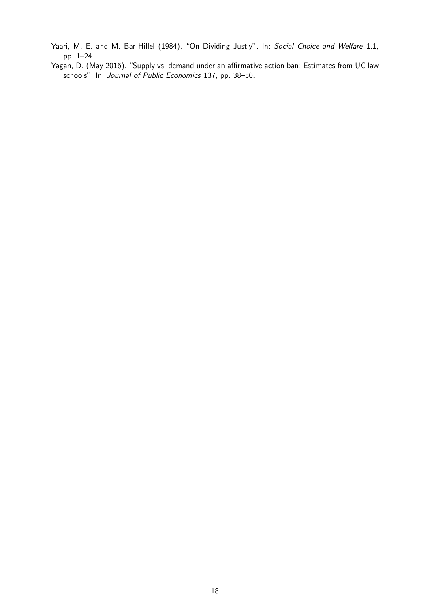- Yaari, M. E. and M. Bar-Hillel (1984). "On Dividing Justly". In: Social Choice and Welfare 1.1, pp. 1–24.
- Yagan, D. (May 2016). "Supply vs. demand under an affirmative action ban: Estimates from UC law schools". In: Journal of Public Economics 137, pp. 38–50.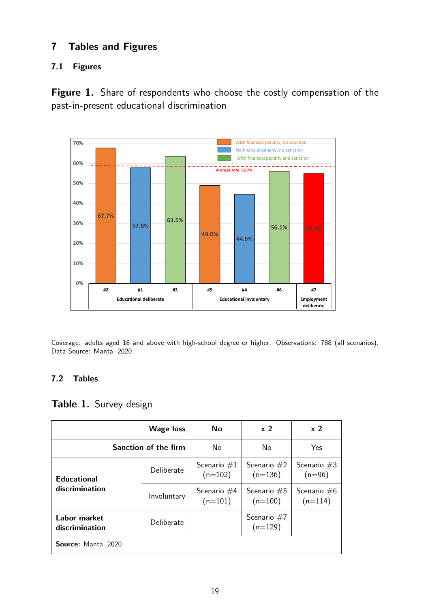# 7 Tables and Figures

# 7.1 Figures

Figure 1. Share of respondents who choose the costly compensation of the past-in-present educational discrimination



Coverage: adults aged 18 and above with high-school degree or higher. Observations: 788 (all scenarios). Data Source: Manta, 2020.

# 7.2 Tables

# Table 1. Survey design

|                                | <b>Wage loss</b> | Nο                         | x <sub>2</sub>             | x <sub>2</sub>             |
|--------------------------------|------------------|----------------------------|----------------------------|----------------------------|
| Sanction of the firm           |                  | No                         | No                         | Yes                        |
| <b>Educational</b>             | Deliberate       | Scenario $#1$<br>$(n=102)$ | Scenario $#2$<br>$(n=136)$ | Scenario $#3$<br>$(n=96)$  |
| discrimination                 | Involuntary      | Scenario $#4$<br>$(n=101)$ | Scenario $#5$<br>$(n=100)$ | Scenario $#6$<br>$(n=114)$ |
| Labor market<br>discrimination | Deliberate       |                            | Scenario $#7$<br>$(n=129)$ |                            |
| Source: Manta, 2020            |                  |                            |                            |                            |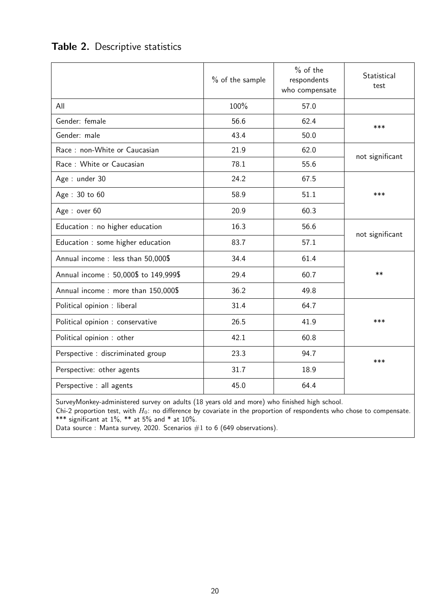|  | Table 2. Descriptive statistics |  |
|--|---------------------------------|--|
|--|---------------------------------|--|

|                                      | $%$ of the sample | $%$ of the<br>respondents<br>who compensate | Statistical<br>test |
|--------------------------------------|-------------------|---------------------------------------------|---------------------|
| All                                  | 100%              | 57.0                                        |                     |
| Gender: female                       | 56.6              | 62.4                                        | ***                 |
| Gender: male                         | 43.4              | 50.0                                        |                     |
| Race: non-White or Caucasian         | 21.9              | 62.0                                        | not significant     |
| Race: White or Caucasian             | 78.1              | 55.6                                        |                     |
| Age: under 30                        | 24.2              | 67.5                                        |                     |
| Age: 30 to 60                        | 58.9              | 51.1                                        | ***                 |
| Age: over 60                         | 20.9              | 60.3                                        |                     |
| Education : no higher education      | 16.3              | 56.6                                        | not significant     |
| Education : some higher education    | 83.7              | 57.1                                        |                     |
| Annual income: less than 50,000\$    | 34.4              | 61.4                                        |                     |
| Annual income: 50,000\$ to 149,999\$ | 29.4              | 60.7                                        | $***$               |
| Annual income: more than 150,000\$   | 36.2              | 49.8                                        |                     |
| Political opinion : liberal          | 31.4              | 64.7                                        |                     |
| Political opinion : conservative     | 26.5              | 41.9                                        | ***                 |
| Political opinion : other            | 42.1              | 60.8                                        |                     |
| Perspective : discriminated group    | 23.3              | 94.7                                        | ***                 |
| Perspective: other agents            | 31.7              | 18.9                                        |                     |
| Perspective : all agents             | 45.0              | 64.4                                        |                     |

SurveyMonkey-administered survey on adults (18 years old and more) who finished high school.

Chi-2 proportion test, with  $H_0$ : no difference by covariate in the proportion of respondents who chose to compensate. \*\*\* significant at  $1\%$ , \*\* at 5% and \* at  $10\%$ .

Data source : Manta survey, 2020. Scenarios  $#1$  to 6 (649 observations).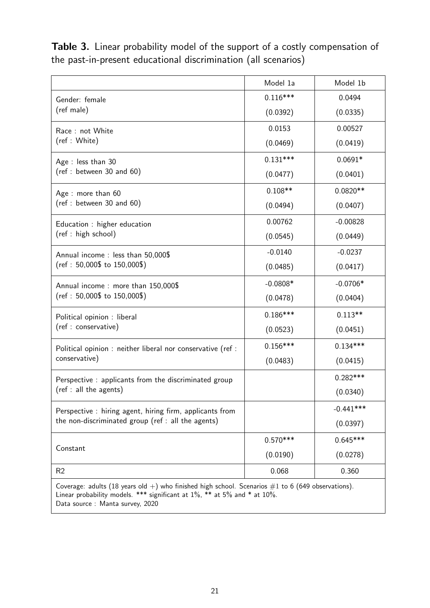Table 3. Linear probability model of the support of a costly compensation of the past-in-present educational discrimination (all scenarios)

|                                                             | Model 1a   | Model 1b    |
|-------------------------------------------------------------|------------|-------------|
| Gender: female                                              | $0.116***$ | 0.0494      |
| (ref male)                                                  | (0.0392)   | (0.0335)    |
| Race: not White                                             | 0.0153     | 0.00527     |
| (ref: White)                                                | (0.0469)   | (0.0419)    |
| Age: less than 30                                           | $0.131***$ | $0.0691*$   |
| (ref : between 30 and 60)                                   | (0.0477)   | (0.0401)    |
| Age: more than 60                                           | $0.108**$  | $0.0820**$  |
| (ref : between 30 and 60)                                   | (0.0494)   | (0.0407)    |
| Education : higher education                                | 0.00762    | $-0.00828$  |
| (ref : high school)                                         | (0.0545)   | (0.0449)    |
| Annual income: less than 50,000\$                           | $-0.0140$  | $-0.0237$   |
| $(ref: 50,000\$ to $150,000\$                               | (0.0485)   | (0.0417)    |
| Annual income: more than 150,000\$                          | $-0.0808*$ | $-0.0706*$  |
| $(ref: 50,000\$ to $150,000\$                               | (0.0478)   | (0.0404)    |
| Political opinion : liberal                                 | $0.186***$ | $0.113**$   |
| (ref : conservative)                                        | (0.0523)   | (0.0451)    |
| Political opinion : neither liberal nor conservative (ref : | $0.156***$ | $0.134***$  |
| conservative)                                               | (0.0483)   | (0.0415)    |
| Perspective: applicants from the discriminated group        |            | $0.282***$  |
| (ref : all the agents)                                      |            | (0.0340)    |
| Perspective: hiring agent, hiring firm, applicants from     |            | $-0.441***$ |
| the non-discriminated group (ref : all the agents)          |            | (0.0397)    |
|                                                             | $0.570***$ | $0.645***$  |
| Constant                                                    | (0.0190)   | (0.0278)    |
| R <sub>2</sub>                                              | 0.068      | 0.360       |
|                                                             |            |             |

Coverage: adults (18 years old +) who finished high school. Scenarios  $\#1$  to 6 (649 observations). Linear probability models. \*\*\* significant at 1%, \*\* at 5% and \* at 10%. Data source : Manta survey, 2020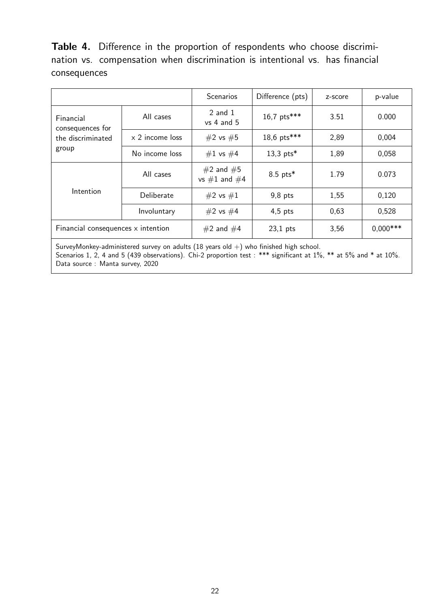Table 4. Difference in the proportion of respondents who choose discrimination vs. compensation when discrimination is intentional vs. has financial consequences

|                                    |                        | <b>Scenarios</b>                  | Difference (pts) | z-score | p-value    |
|------------------------------------|------------------------|-----------------------------------|------------------|---------|------------|
| Financial<br>consequences for      | All cases              | $2$ and $1$<br>$vs$ 4 and 5       | 16,7 pts***      | 3.51    | 0.000      |
| the discriminated                  | $\times$ 2 income loss | #2 vs #5                          | 18,6 pts***      | 2,89    | 0,004      |
| group                              | No income loss         | #1 vs #4                          | 13,3 $pts*$      | 1,89    | 0,058      |
| Intention                          | All cases              | $#2$ and $#5$<br>vs $#1$ and $#4$ | $8.5$ pts*       | 1.79    | 0.073      |
|                                    | Deliberate             | #2 vs #1                          | $9,8$ pts        | 1,55    | 0,120      |
|                                    | Involuntary            | #2 vs #4                          | $4,5$ pts        | 0,63    | 0,528      |
| Financial consequences x intention |                        | $#2$ and $#4$                     | $23,1$ pts       | 3,56    | $0,000***$ |

SurveyMonkey-administered survey on adults (18 years old  $+)$  who finished high school. Scenarios 1, 2, 4 and 5 (439 observations). Chi-2 proportion test : \*\*\* significant at 1%, \*\* at 5% and \* at 10%. Data source : Manta survey, 2020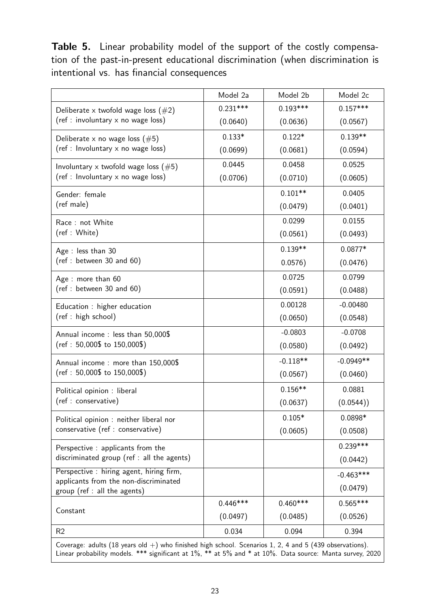Table 5. Linear probability model of the support of the costly compensation of the past-in-present educational discrimination (when discrimination is intentional vs. has financial consequences

|                                                                       | Model 2a   | Model 2b   | Model 2c    |
|-----------------------------------------------------------------------|------------|------------|-------------|
| Deliberate x twofold wage loss $(\#2)$                                | $0.231***$ | $0.193***$ | $0.157***$  |
| (ref : involuntary x no wage loss)                                    | (0.0640)   | (0.0636)   | (0.0567)    |
| Deliberate x no wage loss $(\#5)$                                     | $0.133*$   | $0.122*$   | $0.139**$   |
| (ref : Involuntary x no wage loss)                                    | (0.0699)   | (0.0681)   | (0.0594)    |
| Involuntary x twofold wage loss $(\#5)$                               | 0.0445     | 0.0458     | 0.0525      |
| (ref : Involuntary x no wage loss)                                    | (0.0706)   | (0.0710)   | (0.0605)    |
| Gender: female                                                        |            | $0.101**$  | 0.0405      |
| (ref male)                                                            |            | (0.0479)   | (0.0401)    |
| Race: not White                                                       |            | 0.0299     | 0.0155      |
| (ref: White)                                                          |            | (0.0561)   | (0.0493)    |
| Age: less than 30                                                     |            | $0.139**$  | $0.0877*$   |
| (ref : between 30 and 60)                                             |            | 0.0576)    | (0.0476)    |
| Age : more than 60                                                    |            | 0.0725     | 0.0799      |
| ref: between 30 and 60)                                               |            | (0.0591)   | (0.0488)    |
| Education : higher education                                          |            | 0.00128    | $-0.00480$  |
| (ref : high school)                                                   |            | (0.0650)   | (0.0548)    |
| Annual income: less than 50,000\$                                     |            | $-0.0803$  | $-0.0708$   |
| $(ref: 50,000\$ to $150,000\$                                         |            | (0.0580)   | (0.0492)    |
| Annual income: more than 150,000\$                                    |            | $-0.118**$ | $-0.0949**$ |
| $(ref: 50,000\$ to $150,000\$                                         |            | (0.0567)   | (0.0460)    |
| Political opinion : liberal                                           |            | $0.156**$  | 0.0881      |
| (ref : conservative)                                                  |            | (0.0637)   | (0.0544))   |
| Political opinion : neither liberal nor                               |            | $0.105*$   | 0.0898*     |
| conservative (ref : conservative)                                     |            | (0.0605)   | (0.0508)    |
| Perspective : applicants from the                                     |            |            | $0.239***$  |
| discriminated group (ref : all the agents)                            |            |            | (0.0442)    |
| Perspective : hiring agent, hiring firm,                              |            |            | $-0.463***$ |
| applicants from the non-discriminated<br>group (ref : all the agents) |            |            | (0.0479)    |
|                                                                       | $0.446***$ | $0.460***$ | $0.565***$  |
| Constant                                                              | (0.0497)   | (0.0485)   | (0.0526)    |
| R <sub>2</sub>                                                        | 0.034      | 0.094      | 0.394       |
|                                                                       |            |            |             |

Coverage: adults (18 years old  $+)$  who finished high school. Scenarios 1, 2, 4 and 5 (439 observations). Linear probability models. \*\*\* significant at 1%, \*\* at 5% and \* at 10%. Data source: Manta survey, 2020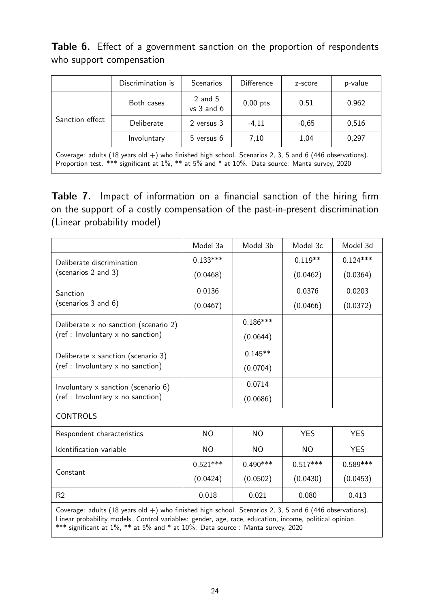Table 6. Effect of a government sanction on the proportion of respondents who support compensation

|                                                                                                            | Discrimination is | <b>Scenarios</b>            | <b>Difference</b> | z-score | p-value |  |
|------------------------------------------------------------------------------------------------------------|-------------------|-----------------------------|-------------------|---------|---------|--|
| Sanction effect                                                                                            | Both cases        | $2$ and $5$<br>$vs$ 3 and 6 | $0,00$ pts        | 0.51    | 0.962   |  |
|                                                                                                            | Deliberate        | 2 versus 3                  | $-4.11$           | $-0,65$ | 0,516   |  |
|                                                                                                            | Involuntary       | 5 versus 6                  | 7,10              | 1,04    | 0,297   |  |
| Coverage: adults (18 years old $+$ ) who finished high school. Scenarios 2, 3, 5 and 6 (446 observations). |                   |                             |                   |         |         |  |

Proportion test. \*\*\* significant at 1%, \*\* at 5% and \* at 10%. Data source: Manta survey, 2020

Table 7. Impact of information on a financial sanction of the hiring firm on the support of a costly compensation of the past-in-present discrimination (Linear probability model)

|                                                                                                           | Model 3a   | Model 3b   | Model 3c   | Model 3d   |
|-----------------------------------------------------------------------------------------------------------|------------|------------|------------|------------|
| Deliberate discrimination                                                                                 | $0.133***$ |            | $0.119**$  | $0.124***$ |
| (scenarios 2 and 3)                                                                                       | (0.0468)   |            | (0.0462)   | (0.0364)   |
| Sanction                                                                                                  | 0.0136     |            | 0.0376     | 0.0203     |
| (scenarios 3 and 6)                                                                                       | (0.0467)   |            | (0.0466)   | (0.0372)   |
| Deliberate $\times$ no sanction (scenario 2)                                                              |            | $0.186***$ |            |            |
| (ref : Involuntary x no sanction)                                                                         |            | (0.0644)   |            |            |
| Deliberate x sanction (scenario 3)                                                                        |            | $0.145**$  |            |            |
| $(ref: Involuntary \times no$ sanction)                                                                   |            | (0.0704)   |            |            |
| Involuntary $\times$ sanction (scenario 6)                                                                |            | 0.0714     |            |            |
| (ref : Involuntary x no sanction)                                                                         |            | (0.0686)   |            |            |
| <b>CONTROLS</b>                                                                                           |            |            |            |            |
| Respondent characteristics                                                                                | <b>NO</b>  | <b>NO</b>  | <b>YES</b> | <b>YES</b> |
| Identification variable                                                                                   | <b>NO</b>  | NO.        | NO.        | <b>YES</b> |
|                                                                                                           | $0.521***$ | $0.490***$ | $0.517***$ | $0.589***$ |
| Constant                                                                                                  | (0.0424)   | (0.0502)   | (0.0430)   | (0.0453)   |
| R2                                                                                                        | 0.018      | 0.021      | 0.080      | 0.413      |
| Coverage: adults (18 years old $+)$ who finished high school. Scenarios 2, 3, 5 and 6 (446 observations). |            |            |            |            |

Linear probability models. Control variables: gender, age, race, education, income, political opinion. \*\*\* significant at 1%, \*\* at 5% and \* at 10%. Data source : Manta survey, 2020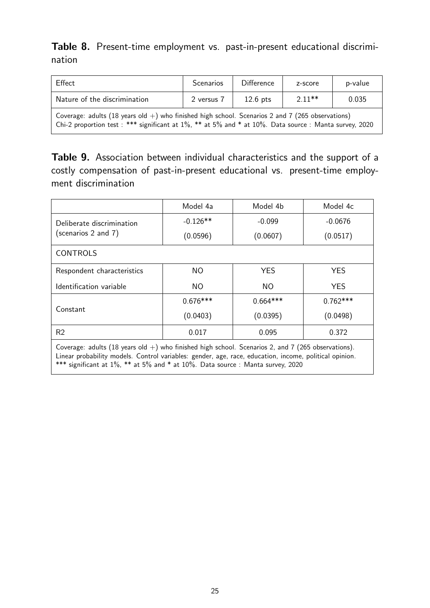Table 8. Present-time employment vs. past-in-present educational discrimination

| Effect                                                                                                                                                                                                        | <b>Scenarios</b> | <b>Difference</b> | z-score  | p-value |  |  |
|---------------------------------------------------------------------------------------------------------------------------------------------------------------------------------------------------------------|------------------|-------------------|----------|---------|--|--|
| Nature of the discrimination                                                                                                                                                                                  | 2 versus 7       | $12.6$ pts        | $2.11**$ | 0.035   |  |  |
| Coverage: adults (18 years old $+$ ) who finished high school. Scenarios 2 and 7 (265 observations)<br>Chi-2 proportion test : *** significant at 1%, ** at 5% and * at 10%. Data source : Manta survey, 2020 |                  |                   |          |         |  |  |

Table 9. Association between individual characteristics and the support of a costly compensation of past-in-present educational vs. present-time employment discrimination

|                            | Model 4a   | Model 4b   | Model 4c   |
|----------------------------|------------|------------|------------|
| Deliberate discrimination  | $-0.126**$ | $-0.099$   | $-0.0676$  |
| (scenarios 2 and 7)        | (0.0596)   | (0.0607)   | (0.0517)   |
| <b>CONTROLS</b>            |            |            |            |
| Respondent characteristics | NO.        | <b>YES</b> | <b>YES</b> |
| Identification variable    | <b>NO</b>  | <b>NO</b>  | <b>YES</b> |
|                            | $0.676***$ | $0.664***$ | $0.762***$ |
| Constant                   | (0.0403)   | (0.0395)   | (0.0498)   |
| R <sub>2</sub>             | 0.017      | 0.095      | 0.372      |

Coverage: adults (18 years old  $+)$  who finished high school. Scenarios 2, and 7 (265 observations). Linear probability models. Control variables: gender, age, race, education, income, political opinion. \*\*\* significant at 1%, \*\* at 5% and \* at 10%. Data source : Manta survey, 2020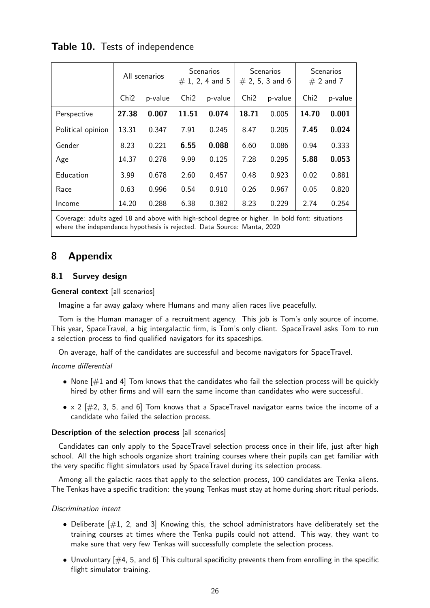|                   | All scenarios    |         | <b>Scenarios</b><br>$# 1, 2, 4$ and 5 |         | <b>Scenarios</b><br>$# 2, 5, 3$ and 6 |         | <b>Scenarios</b><br>$# 2$ and 7 |         |
|-------------------|------------------|---------|---------------------------------------|---------|---------------------------------------|---------|---------------------------------|---------|
|                   | Chi <sub>2</sub> | p-value | Ch <sub>i</sub> 2                     | p-value | Chi2                                  | p-value | Chi <sub>2</sub>                | p-value |
| Perspective       | 27.38            | 0.007   | 11.51                                 | 0.074   | 18.71                                 | 0.005   | 14.70                           | 0.001   |
| Political opinion | 13.31            | 0.347   | 7.91                                  | 0.245   | 8.47                                  | 0.205   | 7.45                            | 0.024   |
| Gender            | 8.23             | 0.221   | 6.55                                  | 0.088   | 6.60                                  | 0.086   | 0.94                            | 0.333   |
| Age               | 14.37            | 0.278   | 9.99                                  | 0.125   | 7.28                                  | 0.295   | 5.88                            | 0.053   |
| Education         | 3.99             | 0.678   | 2.60                                  | 0.457   | 0.48                                  | 0.923   | 0.02                            | 0.881   |
| Race              | 0.63             | 0.996   | 0.54                                  | 0.910   | 0.26                                  | 0.967   | 0.05                            | 0.820   |
| Income            | 14.20            | 0.288   | 6.38                                  | 0.382   | 8.23                                  | 0.229   | 2.74                            | 0.254   |

# Table 10. Tests of independence

Coverage: adults aged 18 and above with high-school degree or higher. In bold font: situations where the independence hypothesis is rejected. Data Source: Manta, 2020

# 8 Appendix

# 8.1 Survey design

# General context [all scenarios]

Imagine a far away galaxy where Humans and many alien races live peacefully.

Tom is the Human manager of a recruitment agency. This job is Tom's only source of income. This year, SpaceTravel, a big intergalactic firm, is Tom's only client. SpaceTravel asks Tom to run a selection process to find qualified navigators for its spaceships.

On average, half of the candidates are successful and become navigators for SpaceTravel.

# Income differential

- None  $[\#1$  and 4] Tom knows that the candidates who fail the selection process will be quickly hired by other firms and will earn the same income than candidates who were successful.
- $\times$  2 [ $\#2$ , 3, 5, and 6] Tom knows that a SpaceTravel navigator earns twice the income of a candidate who failed the selection process.

# Description of the selection process [all scenarios]

Candidates can only apply to the SpaceTravel selection process once in their life, just after high school. All the high schools organize short training courses where their pupils can get familiar with the very specific flight simulators used by SpaceTravel during its selection process.

Among all the galactic races that apply to the selection process, 100 candidates are Tenka aliens. The Tenkas have a specific tradition: the young Tenkas must stay at home during short ritual periods.

# Discrimination intent

- Deliberate  $[\#1, 2, \text{ and } 3]$  Knowing this, the school administrators have deliberately set the training courses at times where the Tenka pupils could not attend. This way, they want to make sure that very few Tenkas will successfully complete the selection process.
- Unvoluntary  $[\#4, 5, \text{ and } 6]$  This cultural specificity prevents them from enrolling in the specific flight simulator training.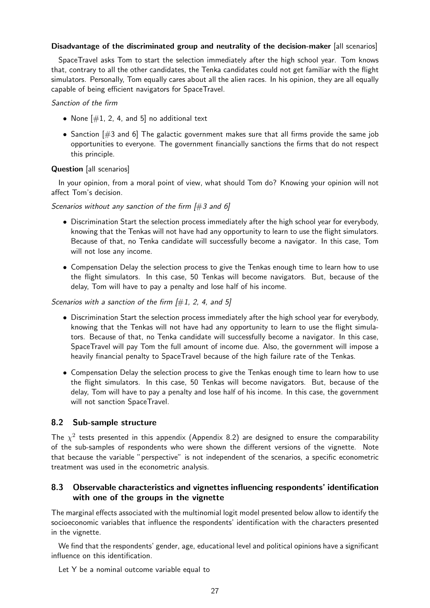#### Disadvantage of the discriminated group and neutrality of the decision-maker [all scenarios]

SpaceTravel asks Tom to start the selection immediately after the high school year. Tom knows that, contrary to all the other candidates, the Tenka candidates could not get familiar with the flight simulators. Personally, Tom equally cares about all the alien races. In his opinion, they are all equally capable of being efficient navigators for SpaceTravel.

#### Sanction of the firm

- None  $[\#1, 2, 4, \text{ and } 5]$  no additional text
- Sanction  $[#3 \text{ and } 6]$  The galactic government makes sure that all firms provide the same job opportunities to everyone. The government financially sanctions the firms that do not respect this principle.

## Question [all scenarios]

In your opinion, from a moral point of view, what should Tom do? Knowing your opinion will not affect Tom's decision.

Scenarios without any sanction of the firm  $[\#3$  and 6]

- Discrimination Start the selection process immediately after the high school year for everybody, knowing that the Tenkas will not have had any opportunity to learn to use the flight simulators. Because of that, no Tenka candidate will successfully become a navigator. In this case, Tom will not lose any income.
- Compensation Delay the selection process to give the Tenkas enough time to learn how to use the flight simulators. In this case, 50 Tenkas will become navigators. But, because of the delay, Tom will have to pay a penalty and lose half of his income.

Scenarios with a sanction of the firm  $[#1, 2, 4,$  and 5]

- Discrimination Start the selection process immediately after the high school year for everybody, knowing that the Tenkas will not have had any opportunity to learn to use the flight simulators. Because of that, no Tenka candidate will successfully become a navigator. In this case, SpaceTravel will pay Tom the full amount of income due. Also, the government will impose a heavily financial penalty to SpaceTravel because of the high failure rate of the Tenkas.
- Compensation Delay the selection process to give the Tenkas enough time to learn how to use the flight simulators. In this case, 50 Tenkas will become navigators. But, because of the delay, Tom will have to pay a penalty and lose half of his income. In this case, the government will not sanction SpaceTravel.

## 8.2 Sub-sample structure

The  $\chi^2$  tests presented in this appendix (Appendix 8.2) are designed to ensure the comparability of the sub-samples of respondents who were shown the different versions of the vignette. Note that because the variable "perspective" is not independent of the scenarios, a specific econometric treatment was used in the econometric analysis.

## 8.3 Observable characteristics and vignettes influencing respondents' identification with one of the groups in the vignette

The marginal effects associated with the multinomial logit model presented below allow to identify the socioeconomic variables that influence the respondents' identification with the characters presented in the vignette.

We find that the respondents' gender, age, educational level and political opinions have a significant influence on this identification.

Let Y be a nominal outcome variable equal to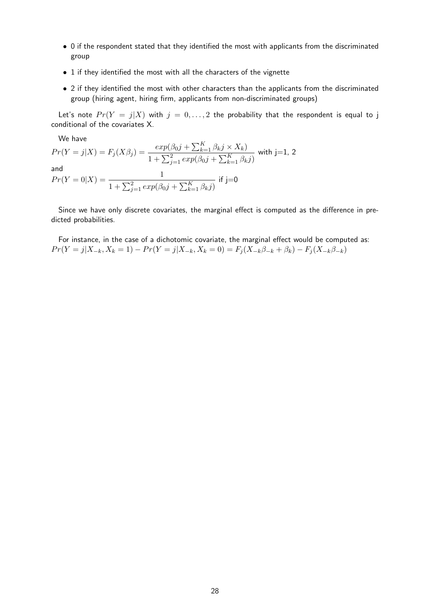- 0 if the respondent stated that they identified the most with applicants from the discriminated group
- 1 if they identified the most with all the characters of the vignette
- 2 if they identified the most with other characters than the applicants from the discriminated group (hiring agent, hiring firm, applicants from non-discriminated groups)

Let's note  $Pr(Y = j|X)$  with  $j = 0, ..., 2$  the probability that the respondent is equal to j conditional of the covariates X.

We have  $Pr(Y = j | X) = F_j(X \beta_j) = \frac{exp(\beta_0 j + \sum_{k=1}^K \beta_k j \times X_k)}{E_j(X \beta_j)}$  $1 + \sum_{j=1}^{2} exp(\beta_0 j + \sum_{k=1}^{K} \beta_k j)$ with  $j=1, 2$ and  $Pr(Y = 0|X) = \frac{1}{\sqrt{2}}$  $1 + \sum_{j=1}^{2} exp(\beta_0 j + \sum_{k=1}^{K} \beta_k j)$  $if j=0$ 

Since we have only discrete covariates, the marginal effect is computed as the difference in predicted probabilities.

For instance, in the case of a dichotomic covariate, the marginal effect would be computed as:  $Pr(Y = j | X_{-k}, X_k = 1) - Pr(Y = j | X_{-k}, X_k = 0) = F_j(X_{-k} \beta_{-k} + \beta_k) - F_j(X_{-k} \beta_{-k})$